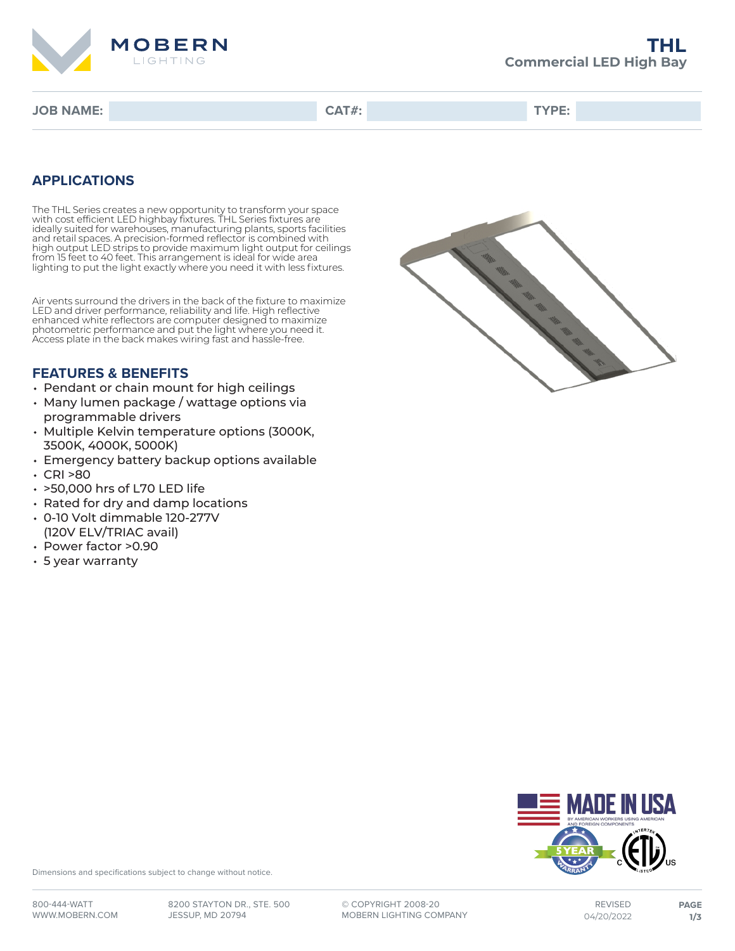

**JOB NAME: CAT#: TYPE:**

## **APPLICATIONS**

The THL Series creates a new opportunity to transform your space with cost efficient LED highbay fixtures. THL Series fixtures are ideally suited for warehouses, manufacturing plants, sports facilities and retail spaces. A precision-formed reflector is combined with high output LED strips to provide maximum light output for ceilings from 15 feet to 40 feet. This arrangement is ideal for wide area lighting to put the light exactly where you need it with less fixtures.

Air vents surround the drivers in the back of the fixture to maximize LED and driver performance, reliability and life. High reflective enhanced white reflectors are computer designed to maximize photometric performance and put the light where you need it. Access plate in the back makes wiring fast and hassle-free.

### **FEATURES & BENEFITS**

- Pendant or chain mount for high ceilings
- Many lumen package / wattage options via programmable drivers
- Multiple Kelvin temperature options (3000K, 3500K, 4000K, 5000K)
- Emergency battery backup options available
- CRI >80
- >50,000 hrs of L70 LED life
- Rated for dry and damp locations
- 0-10 Volt dimmable 120-277V (120V ELV/TRIAC avail)
- Power factor >0.90
- 5 year warranty





Dimensions and specifications subject to change without notice.

**©** COPYRIGHT 2008-20 MOBERN LIGHTING COMPANY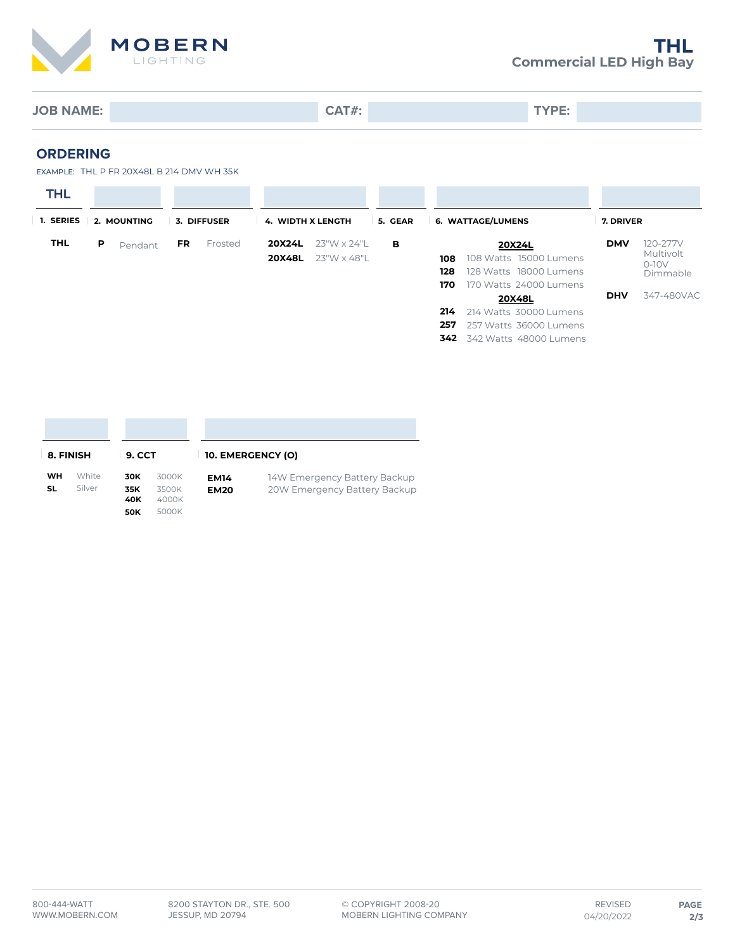

**JOB NAME: CAT#: TYPE:**

#### **ORDERING**

EXAMPLE: THL P FR 20X48L B 214 DMV WH 35K

| <b>THL</b><br>1. SERIES | 2. MOUNTING  | 3. DIFFUSER    | 5. GEAR<br><b>4. WIDTH X LENGTH</b>                 | 6. WATTAGE/LUMENS                                                                                             | 7. DRIVER                                                  |
|-------------------------|--------------|----------------|-----------------------------------------------------|---------------------------------------------------------------------------------------------------------------|------------------------------------------------------------|
| <b>THL</b>              | P<br>Pendant | Frosted<br>FR. | 20X24L<br>23"W x 24"L<br>в<br>20X48L<br>23"W x 48"L | 20X24L<br>108 Watts 15000 Lumens<br>108<br>128<br>128 Watts 18000 Lumens<br>170<br>170 Watts 24000 Lumens     | 120-277V<br><b>DMV</b><br>Multivolt<br>$O-1OV$<br>Dimmable |
|                         |              |                |                                                     | 20X48L<br>214 Watts 30000 Lumens<br>214<br>257<br>257 Watts 36000 Lumens<br><b>342</b> 342 Watts 48000 Lumens | 347-480VAC<br><b>DHV</b>                                   |

| 8. FINISH |        | <b>9. CCT</b>            |                         |             | 10. EMERGENCY (O)            |  |  |
|-----------|--------|--------------------------|-------------------------|-------------|------------------------------|--|--|
| <b>WH</b> | White  | 30K                      | 3000K                   | <b>EM14</b> | 14W Emergency Battery Backup |  |  |
| SL        | Silver | 35K<br>40K<br><b>50K</b> | 3500K<br>4000K<br>5000K | <b>EM20</b> | 20W Emergency Battery Backup |  |  |